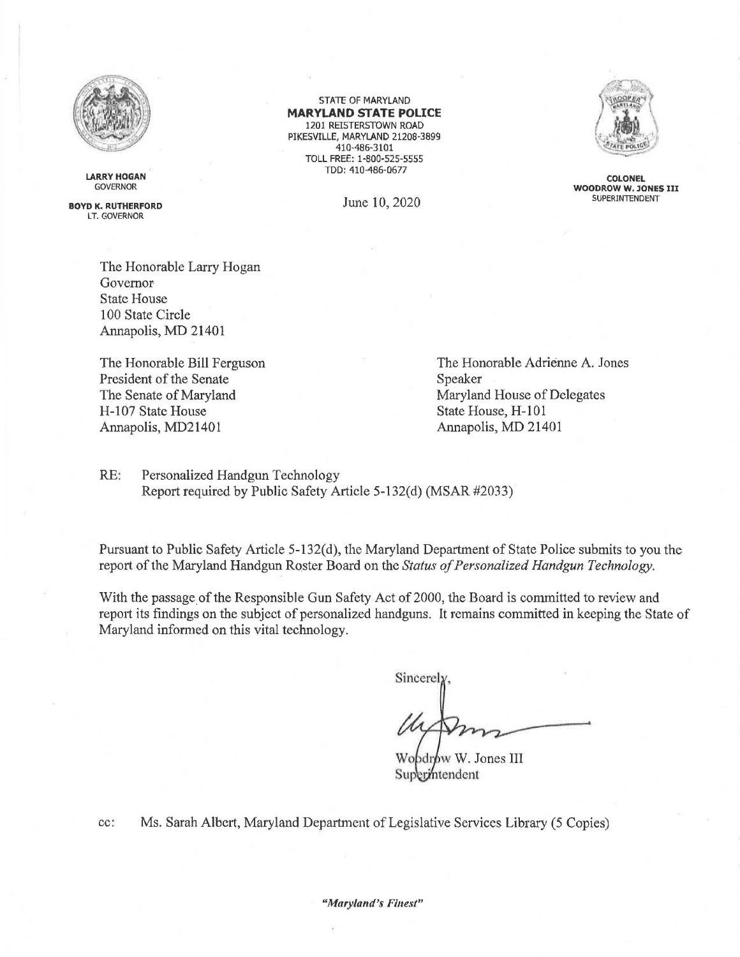

**LARRY HOGAN**  GOVERNOR

**BOYD K, RUTHERFORD**  LT. GOVERNOR

> The Honorable Larry Hogan Governor State House 100 State Circle Annapolis, MD 21401

The Honorable Bill Ferguson President of the Senate The Senate of Maryland H-107 State House Annapolis, MD2l401

STATE OF MARYLAND **MARYLAND STATE POLICE**  1201 REISTERSTOWN ROAD PIKESVILLE, MARYLAND 21208-3899 410-486-3101 TOLL FREE: 1-800-525-5555 TDD: 410-486-0677

June 10, 2020



**COLONEL WOODROW W, JONES** III SUPERINTENDENT

The Honorable Adrienne A. Jones Speaker Maryland House of Delegates State House, H-101 Annapolis, MD 21401

RE: Personalized Handgun Technology Report required by Public Safety Article 5-132(d) (MSAR #2033)

Pursuant to Public Safety Article 5-132(d), the Maryland Department of State Police submits to you the report of the Maryland Handgun Roster Board on the *Status of Personalized Handgun Technology.* 

With the passage of the Responsible Gun Safety Act of 2000, the Board is committed to review and report its findings on the subject of personalized handguns. It remains committed in keeping the State of Maryland informed on this vital technology.

 $Since$  $\alpha$ 

Wobdrow W. Jones III Superintendent

cc: Ms. Sarah Albert, Maryland Department of Legislative Services Library (5 Copies)